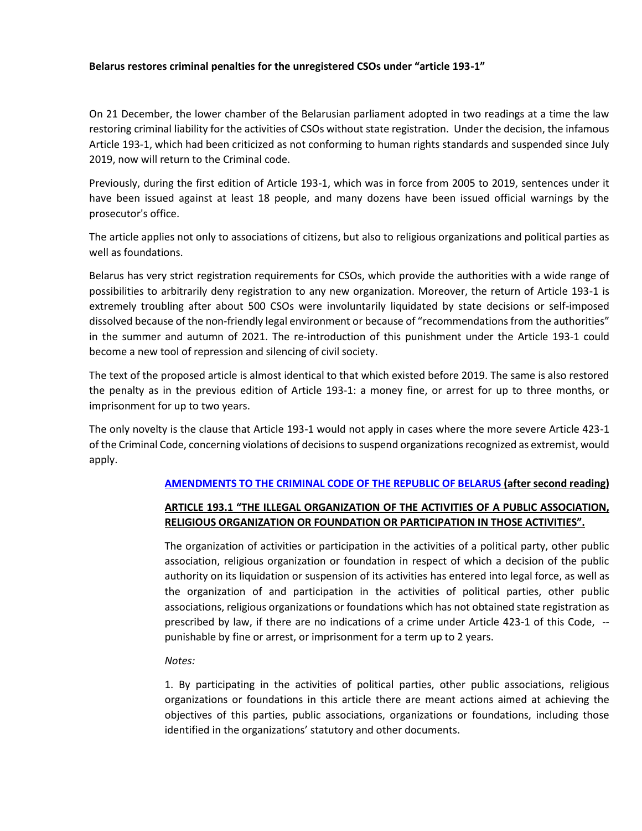## **Belarus restores criminal penalties for the unregistered CSOs under "article 193-1"**

On 21 December, the lower chamber of the Belarusian parliament adopted in two readings at a time the law restoring criminal liability for the activities of CSOs without state registration. Under the decision, the infamous Article 193-1, which had been criticized as not conforming to human rights standards and suspended since July 2019, now will return to the Criminal code.

Previously, during the first edition of Article 193-1, which was in force from 2005 to 2019, sentences under it have been issued against at least 18 people, and many dozens have been issued official warnings by the prosecutor's office.

The article applies not only to associations of citizens, but also to religious organizations and political parties as well as foundations.

Belarus has very strict registration requirements for CSOs, which provide the authorities with a wide range of possibilities to arbitrarily deny registration to any new organization. Moreover, the return of Article 193-1 is extremely troubling after about 500 CSOs were involuntarily liquidated by state decisions or self-imposed dissolved because of the non-friendly legal environment or because of "recommendations from the authorities" in the summer and autumn of 2021. The re-introduction of this punishment under the Article 193-1 could become a new tool of repression and silencing of civil society.

The text of the proposed article is almost identical to that which existed before 2019. The same is also restored the penalty as in the previous edition of Article 193-1: a money fine, or arrest for up to three months, or imprisonment for up to two years.

The only novelty is the clause that Article 193-1 would not apply in cases where the more severe Article 423-1 of the Criminal Code, concerning violations of decisions to suspend organizations recognized as extremist, would apply.

## **[AMENDMENTS TO THE CRIMINAL CODE OF THE REPUBLIC OF BELARUS](https://pravo.by/document/?guid=3941&p0=2021061017) (after second reading)**

## **ARTICLE 193.1 "THE ILLEGAL ORGANIZATION OF THE ACTIVITIES OF A PUBLIC ASSOCIATION, RELIGIOUS ORGANIZATION OR FOUNDATION OR PARTICIPATION IN THOSE ACTIVITIES".**

The organization of activities or participation in the activities of a political party, other public association, religious organization or foundation in respect of which a decision of the public authority on its liquidation or suspension of its activities has entered into legal force, as well as the organization of and participation in the activities of political parties, other public associations, religious organizations or foundations which has not obtained state registration as prescribed by law, if there are no indications of a crime under Article 423-1 of this Code, - punishable by fine or arrest, or imprisonment for a term up to 2 years.

## *Notes:*

1. By participating in the activities of political parties, other public associations, religious organizations or foundations in this article there are meant actions aimed at achieving the objectives of this parties, public associations, organizations or foundations, including those identified in the organizations' statutory and other documents.